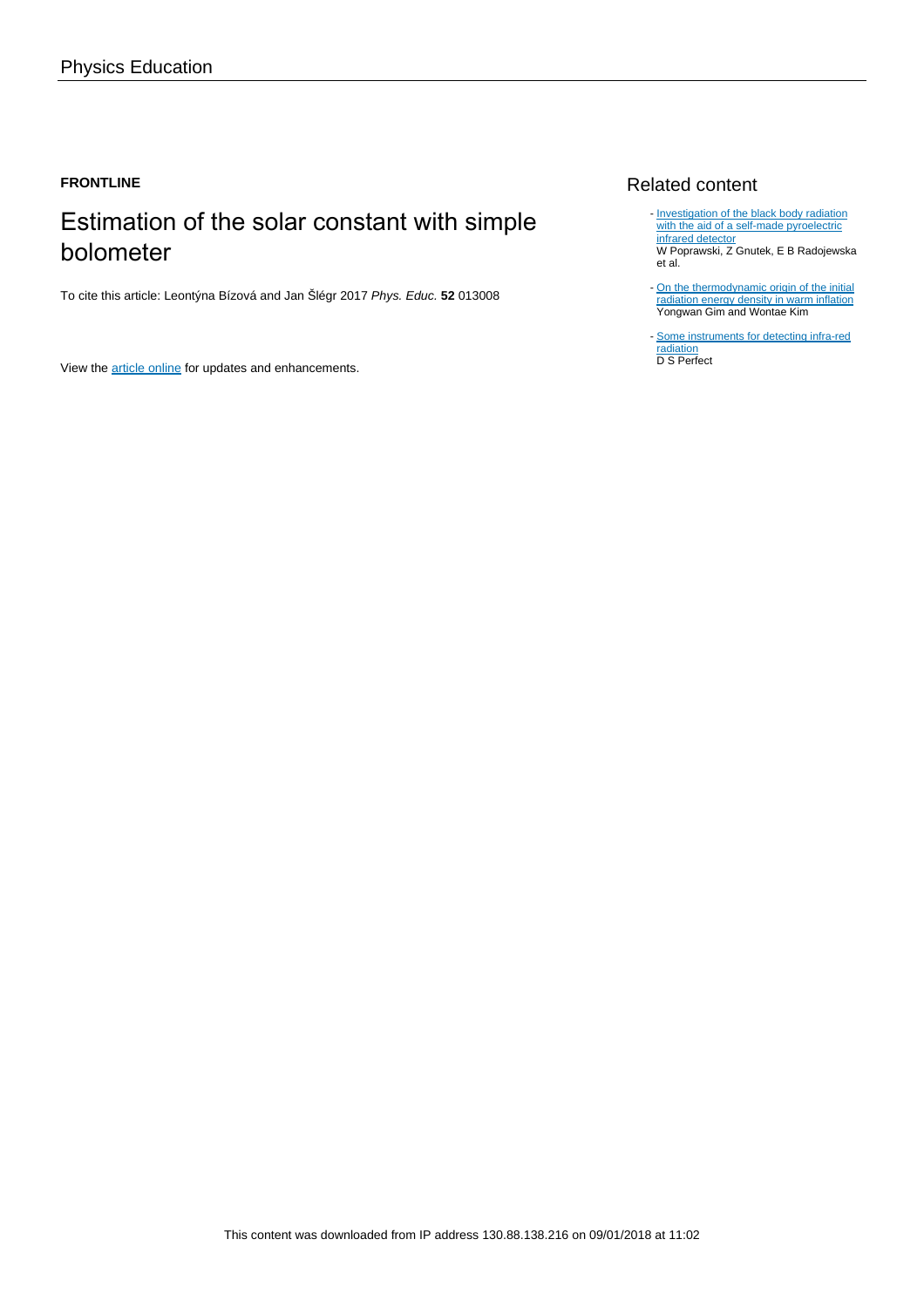#### **FRONTLINE**

## Estimation of the solar constant with simple bolometer

To cite this article: Leontýna Bízová and Jan Šlégr 2017 Phys. Educ. **52** 013008

View the [article online](https://doi.org/10.1088/1361-6552/52/1/013008) for updates and enhancements.

#### Related content

- [Investigation of the black body radiation](http://iopscience.iop.org/article/10.1088/0143-0807/36/6/065025) [with the aid of a self-made pyroelectric](http://iopscience.iop.org/article/10.1088/0143-0807/36/6/065025) [infrared detector](http://iopscience.iop.org/article/10.1088/0143-0807/36/6/065025) W Poprawski, Z Gnutek, E B Radojewska et al.
- [On the thermodynamic origin of the initial](http://iopscience.iop.org/article/10.1088/1475-7516/2016/11/022) [radiation energy density in warm inflation](http://iopscience.iop.org/article/10.1088/1475-7516/2016/11/022) Yongwan Gim and Wontae Kim
- [Some instruments for detecting infra-red](http://iopscience.iop.org/article/10.1088/0950-7671/1/12/301) [radiation](http://iopscience.iop.org/article/10.1088/0950-7671/1/12/301) D S Perfect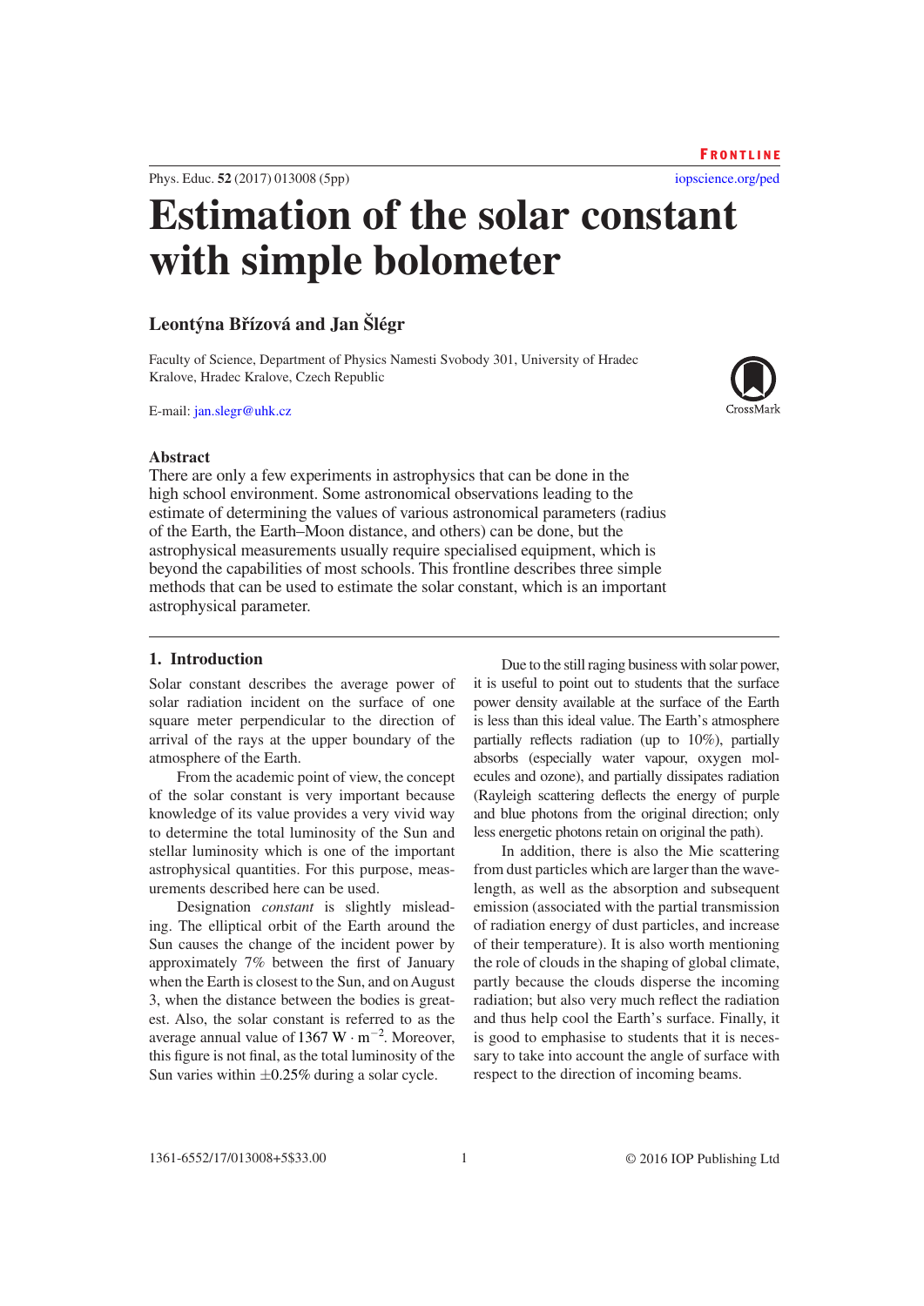1361-6552/17/013008[+5\\$](#page-5-0)33.00

this figure is not final, as the total luminosity of the Sun varies within  $\pm 0.25\%$  during a solar cycle.

#### 1 © 2016 IOP Publishing Ltd

to determine the total luminosity of the Sun and stellar luminosity which is one of the important astrophysical quantities. For this purpose, measurements described here can be used. Designation *constant* is slightly misleading. The elliptical orbit of the Earth around the Sun causes the change of the incident power by approximately 7% between the first of January when the Earth is closest to the Sun, and on August 3, when the distance between the bodies is greatest. Also, the solar constant is referred to as the average annual value of 1367 W  $\cdot$  m<sup>-2</sup>. Moreover, from dust particles which are larger than the wavelength, as well as the absorption and subsequent emission (associated with the partial transmission of radiation energy of dust particles, and increase of their temperature). It is also worth mentioning the role of clouds in the shaping of global climate, partly because the clouds disperse the incoming radiation; but also very much reflect the radiation and thus help cool the Earth's surface. Finally, it is good to emphasise to students that it is neces-

power density available at the surface of the Earth is less than this ideal value. The Earth's atmosphere partially reflects radiation (up to 10%), partially absorbs (especially water vapour, oxygen molecules and ozone), and partially dissipates radiation (Rayleigh scattering deflects the energy of purple and blue photons from the original direction; only less energetic photons retain on original the path). In addition, there is also the Mie scattering

sary to take into account the angle of surface with respect to the direction of incoming beams.

Due to the still raging business with solar power, it is useful to point out to students that the surface

# **Estimation of the solar constant with simple bolometer**

### **Leontýna Břízová and Jan Šlégr**

Solar constant describes the average power of solar radiation incident on the surface of one square meter perpendicular to the direction of arrival of the rays at the upper boundary of the

From the academic point of view, the concept of the solar constant is very important because knowledge of its value provides a very vivid way

Faculty of Science, Department of Physics Namesti Svobody 301, University of Hradec Kralove, Hradec Kralove, Czech Republic

E-mail: [jan.slegr@uhk.cz](mailto:jan.slegr@uhk.cz)

**1. Introduction**

atmosphere of the Earth.

#### **Abstract**

There are only a few experiments in astrophysics that can be done in the high school environment. Some astronomical observations leading to the estimate of determining the values of various astronomical parameters (radius of the Earth, the Earth–Moon distance, and others) can be done, but the astrophysical measurements usually require specialised equipment, which is beyond the capabilities of most schools. This frontline describes three simple methods that can be used to estimate the solar constant, which is an important astrophysical parameter.

Phys. Educ. **52** (2017) 013008 ([5](#page-5-0)pp)

#### [iopscience.org/ped](http://iopscience.org/ped) **FRONTLINE**

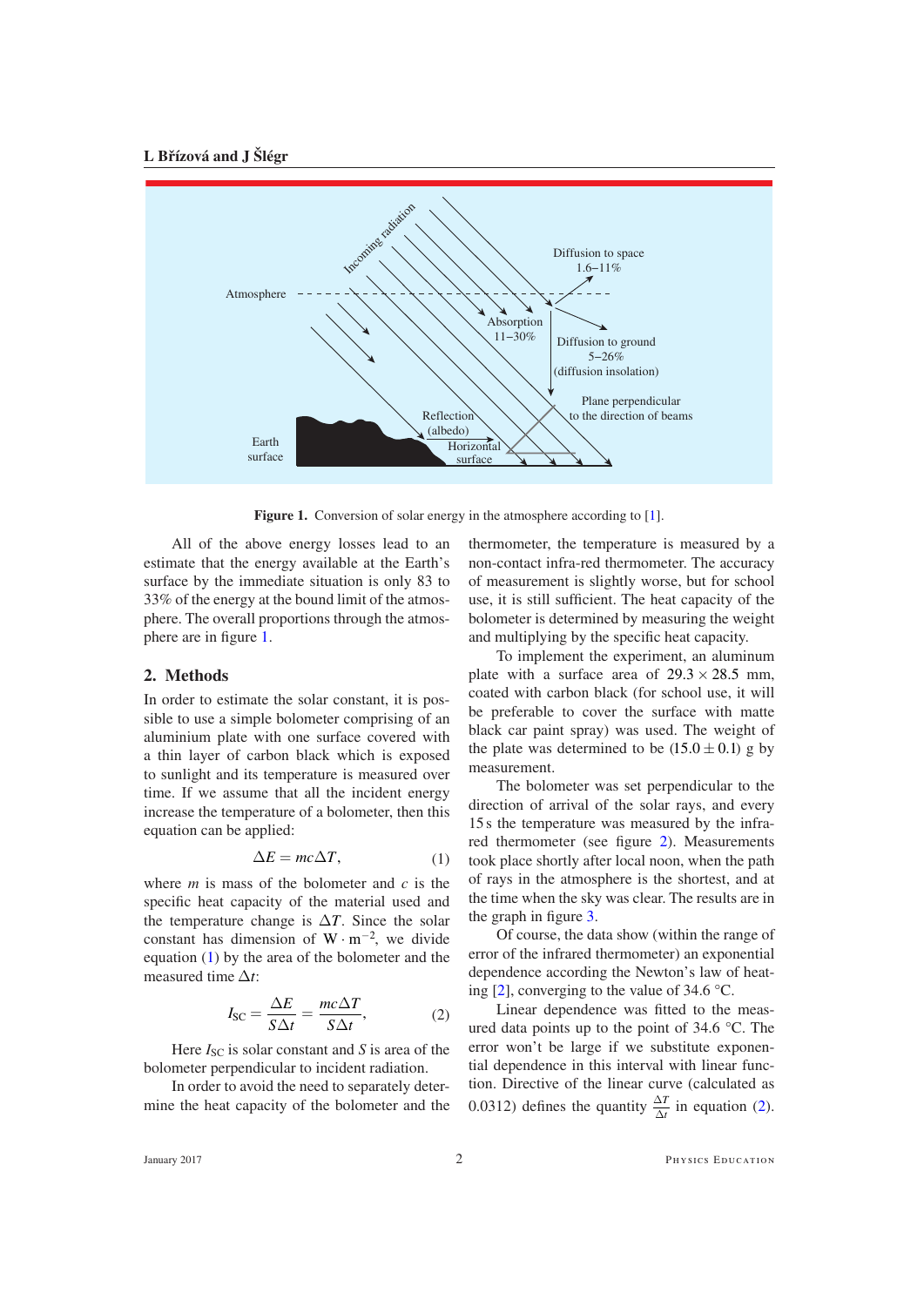#### **L Břízová and J Šlégr**

<span id="page-2-0"></span>

**Figure 1.** Conversion of solar energy in the atmosphere according to [\[1\]](#page-5-2).

All of the above energy losses lead to an estimate that the energy available at the Earth's surface by the immediate situation is only 83 to 33% of the energy at the bound limit of the atmosphere. The overall proportions through the atmosphere are in figure [1](#page-2-0).

#### **2. Methods**

In order to estimate the solar constant, it is possible to use a simple bolometer comprising of an aluminium plate with one surface covered with a thin layer of carbon black which is exposed to sunlight and its temperature is measured over time. If we assume that all the incident energy increase the temperature of a bolometer, then this equation can be applied:

$$
\Delta E = mc\Delta T, \tag{1}
$$

<span id="page-2-1"></span>where *m* is mass of the bolometer and *c* is the specific heat capacity of the material used and the temperature change is  $\Delta T$ . Since the solar constant has dimension of  $W \cdot m^{-2}$ , we divide equation [\(1](#page-2-1)) by the area of the bolometer and the measured time ∆*t*:

$$
I_{\rm SC} = \frac{\Delta E}{S \Delta t} = \frac{mc\Delta T}{S \Delta t},\tag{2}
$$

<span id="page-2-2"></span>Here  $I_{SC}$  is solar constant and *S* is area of the bolometer perpendicular to incident radiation.

In order to avoid the need to separately determine the heat capacity of the bolometer and the thermometer, the temperature is measured by a non-contact infra-red thermometer. The accuracy of measurement is slightly worse, but for school use, it is still sufficient. The heat capacity of the bolometer is determined by measuring the weight and multiplying by the specific heat capacity.

To implement the experiment, an aluminum plate with a surface area of  $29.3 \times 28.5$  mm. coated with carbon black (for school use, it will be preferable to cover the surface with matte black car paint spray) was used. The weight of the plate was determined to be  $(15.0 \pm 0.1)$  g by measurement.

The bolometer was set perpendicular to the direction of arrival of the solar rays, and every 15 s the temperature was measured by the infrared thermometer (see figure [2](#page-3-0)). Measurements took place shortly after local noon, when the path of rays in the atmosphere is the shortest, and at the time when the sky was clear. The results are in the graph in figure [3](#page-3-1).

Of course, the data show (within the range of error of the infrared thermometer) an exponential dependence according the Newton's law of heating [[2\]](#page-5-1), converging to the value of 34.6 °C.

Linear dependence was fitted to the measured data points up to the point of 34.6 °C. The error won't be large if we substitute exponential dependence in this interval with linear function. Directive of the linear curve (calculated as 0.0312) defines the quantity  $\frac{\Delta T}{\Delta t}$  $\frac{\Delta T}{\Delta t}$  in equation [\(2](#page-2-2)).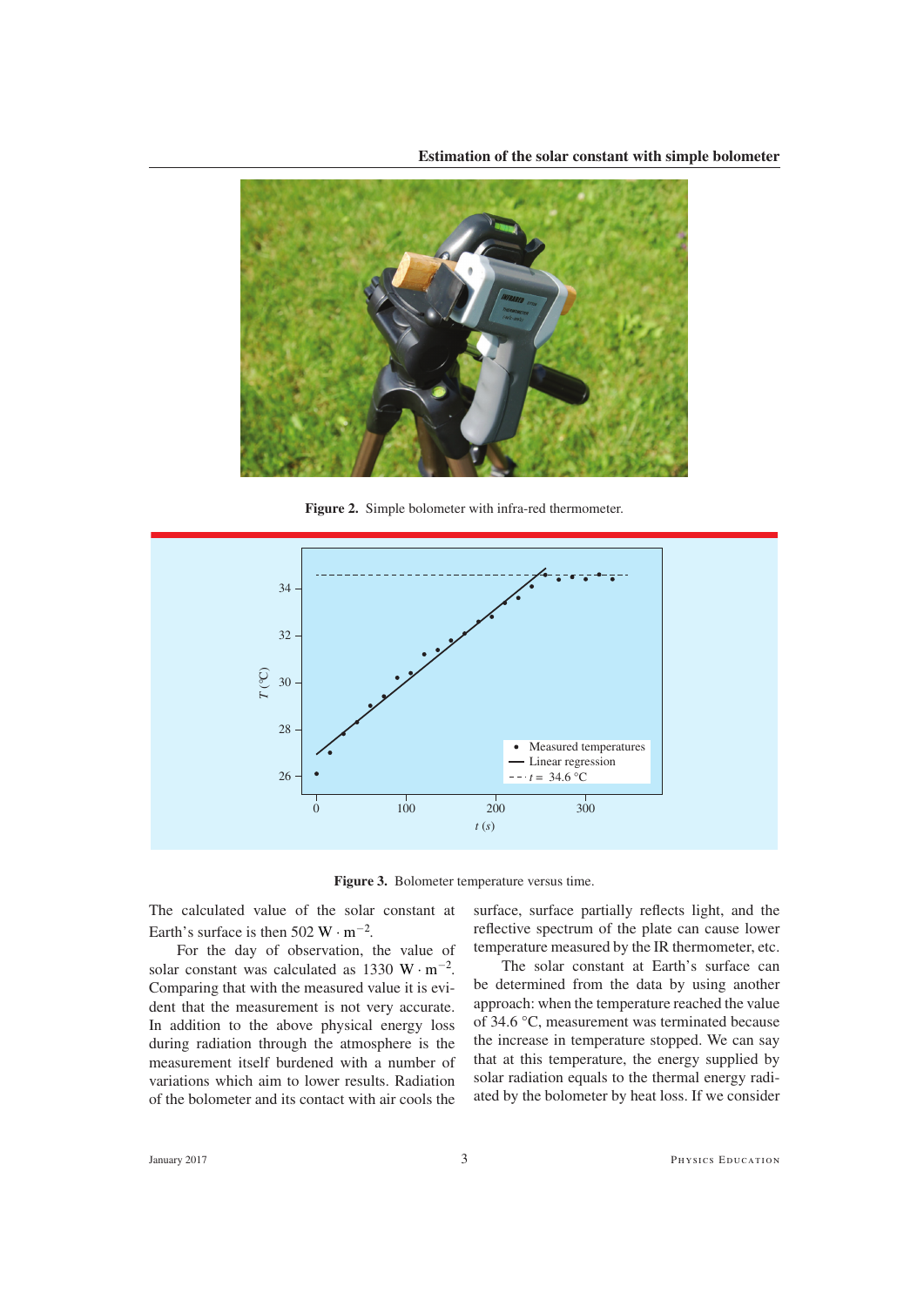<span id="page-3-0"></span>

**Figure 2.** Simple bolometer with infra-red thermometer.

<span id="page-3-1"></span>

**Figure 3.** Bolometer temperature versus time.

The calculated value of the solar constant at Earth's surface is then 502 W  $\cdot$  m<sup>-2</sup>.

For the day of observation, the value of solar constant was calculated as 1330 W  $\cdot$  m<sup>-2</sup>. Comparing that with the measured value it is evident that the measurement is not very accurate. In addition to the above physical energy loss during radiation through the atmosphere is the measurement itself burdened with a number of variations which aim to lower results. Radiation of the bolometer and its contact with air cools the

surface, surface partially reflects light, and the reflective spectrum of the plate can cause lower temperature measured by the IR thermometer, etc.

The solar constant at Earth's surface can be determined from the data by using another approach: when the temperature reached the value of 34.6 °C, measurement was terminated because the increase in temperature stopped. We can say that at this temperature, the energy supplied by solar radiation equals to the thermal energy radiated by the bolometer by heat loss. If we consider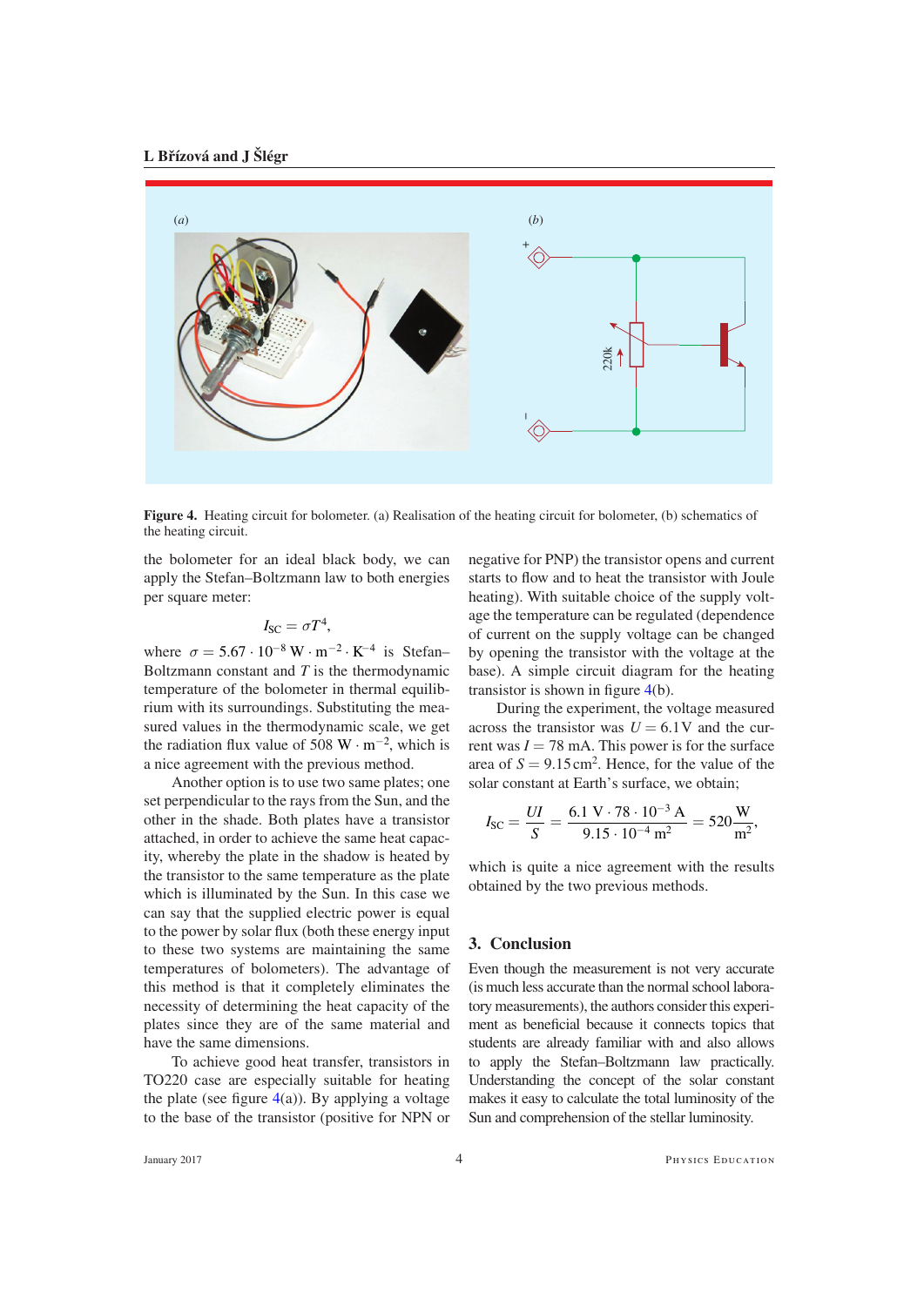#### **L Břízová and J Šlégr**

<span id="page-4-0"></span>

**Figure 4.** Heating circuit for bolometer. (a) Realisation of the heating circuit for bolometer, (b) schematics of the heating circuit.

the bolometer for an ideal black body, we can apply the Stefan–Boltzmann law to both energies per square meter:

$$
I_{\rm SC} = \sigma T^4,
$$

where  $\sigma = 5.67 \cdot 10^{-8} \,\mathrm{W} \cdot \mathrm{m}^{-2} \cdot \mathrm{K}^{-4}$  is Stefan– Boltzmann constant and *T* is the thermodynamic temperature of the bolometer in thermal equilibrium with its surroundings. Substituting the measured values in the thermodynamic scale, we get the radiation flux value of 508 W  $\cdot$  m<sup>-2</sup>, which is a nice agreement with the previous method.

Another option is to use two same plates; one set perpendicular to the rays from the Sun, and the other in the shade. Both plates have a transistor attached, in order to achieve the same heat capacity, whereby the plate in the shadow is heated by the transistor to the same temperature as the plate which is illuminated by the Sun. In this case we can say that the supplied electric power is equal to the power by solar flux (both these energy input to these two systems are maintaining the same temperatures of bolometers). The advantage of this method is that it completely eliminates the necessity of determining the heat capacity of the plates since they are of the same material and have the same dimensions.

To achieve good heat transfer, transistors in TO220 case are especially suitable for heating the plate (see figure  $4(a)$  $4(a)$ ). By applying a voltage to the base of the transistor (positive for NPN or negative for PNP) the transistor opens and current starts to flow and to heat the transistor with Joule heating). With suitable choice of the supply voltage the temperature can be regulated (dependence of current on the supply voltage can be changed by opening the transistor with the voltage at the base). A simple circuit diagram for the heating transistor is shown in figure  $4(b)$ .

During the experiment, the voltage measured across the transistor was  $U = 6.1$ V and the current was  $I = 78$  mA. This power is for the surface area of  $S = 9.15 \text{ cm}^2$ . Hence, for the value of the solar constant at Earth's surface, we obtain;

$$
I_{SC} = \frac{UI}{S} = \frac{6.1 \text{ V} \cdot 78 \cdot 10^{-3} \text{ A}}{9.15 \cdot 10^{-4} \text{ m}^2} = 520 \frac{\text{W}}{\text{m}^2},
$$

which is quite a nice agreement with the results obtained by the two previous methods.

#### **3. Conclusion**

Even though the measurement is not very accurate (is much less accurate than the normal school laboratory measurements), the authors consider this experiment as beneficial because it connects topics that students are already familiar with and also allows to apply the Stefan–Boltzmann law practically. Understanding the concept of the solar constant makes it easy to calculate the total luminosity of the Sun and comprehension of the stellar luminosity.